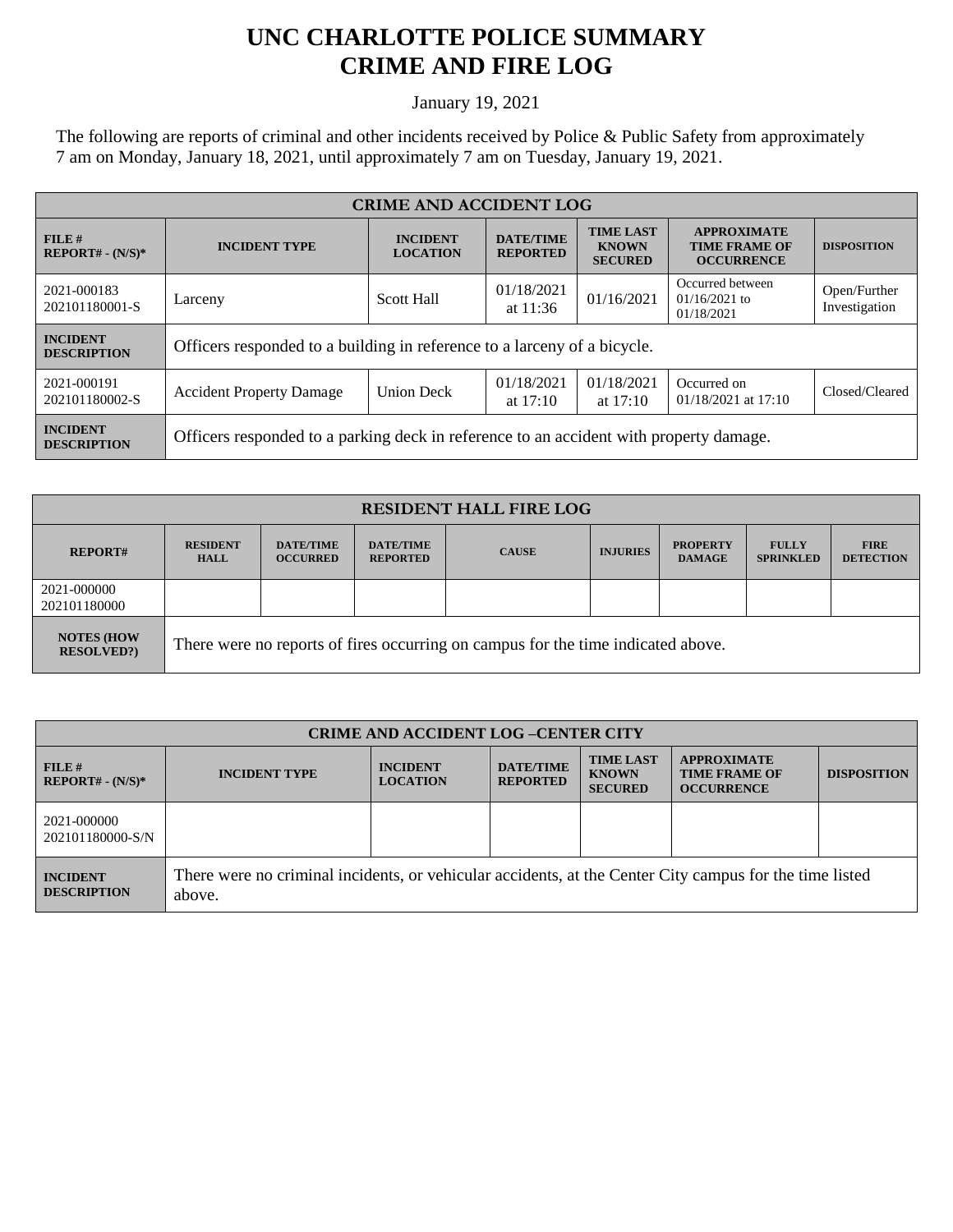## **UNC CHARLOTTE POLICE SUMMARY CRIME AND FIRE LOG**

January 19, 2021

The following are reports of criminal and other incidents received by Police & Public Safety from approximately 7 am on Monday, January 18, 2021, until approximately 7 am on Tuesday, January 19, 2021.

| <b>CRIME AND ACCIDENT LOG</b>         |                                                                                        |                                    |                                     |                                                    |                                                                 |                               |  |
|---------------------------------------|----------------------------------------------------------------------------------------|------------------------------------|-------------------------------------|----------------------------------------------------|-----------------------------------------------------------------|-------------------------------|--|
| FILE#<br>$REPORT# - (N/S)*$           | <b>INCIDENT TYPE</b>                                                                   | <b>INCIDENT</b><br><b>LOCATION</b> | <b>DATE/TIME</b><br><b>REPORTED</b> | <b>TIME LAST</b><br><b>KNOWN</b><br><b>SECURED</b> | <b>APPROXIMATE</b><br><b>TIME FRAME OF</b><br><b>OCCURRENCE</b> | <b>DISPOSITION</b>            |  |
| 2021-000183<br>202101180001-S         | Larceny                                                                                | <b>Scott Hall</b>                  | 01/18/2021<br>at $11:36$            | 01/16/2021                                         | Occurred between<br>$01/16/2021$ to<br>01/18/2021               | Open/Further<br>Investigation |  |
| <b>INCIDENT</b><br><b>DESCRIPTION</b> | Officers responded to a building in reference to a larceny of a bicycle.               |                                    |                                     |                                                    |                                                                 |                               |  |
| 2021-000191<br>202101180002-S         | <b>Accident Property Damage</b>                                                        | <b>Union Deck</b>                  | 01/18/2021<br>at $17:10$            | 01/18/2021<br>at $17:10$                           | Occurred on<br>$01/18/2021$ at 17:10                            | Closed/Cleared                |  |
| <b>INCIDENT</b><br><b>DESCRIPTION</b> | Officers responded to a parking deck in reference to an accident with property damage. |                                    |                                     |                                                    |                                                                 |                               |  |

| <b>RESIDENT HALL FIRE LOG</b>         |                                                                                  |                                     |                                     |              |                 |                                  |                                  |                                 |
|---------------------------------------|----------------------------------------------------------------------------------|-------------------------------------|-------------------------------------|--------------|-----------------|----------------------------------|----------------------------------|---------------------------------|
| <b>REPORT#</b>                        | <b>RESIDENT</b><br><b>HALL</b>                                                   | <b>DATE/TIME</b><br><b>OCCURRED</b> | <b>DATE/TIME</b><br><b>REPORTED</b> | <b>CAUSE</b> | <b>INJURIES</b> | <b>PROPERTY</b><br><b>DAMAGE</b> | <b>FULLY</b><br><b>SPRINKLED</b> | <b>FIRE</b><br><b>DETECTION</b> |
| 2021-000000<br>202101180000           |                                                                                  |                                     |                                     |              |                 |                                  |                                  |                                 |
| <b>NOTES (HOW</b><br><b>RESOLVED?</b> | There were no reports of fires occurring on campus for the time indicated above. |                                     |                                     |              |                 |                                  |                                  |                                 |

| <b>CRIME AND ACCIDENT LOG-CENTER CITY</b> |                                                                                                                   |                                    |                                     |                                                    |                                                                 |                    |
|-------------------------------------------|-------------------------------------------------------------------------------------------------------------------|------------------------------------|-------------------------------------|----------------------------------------------------|-----------------------------------------------------------------|--------------------|
| FILE H<br>$REPORT# - (N/S)*$              | <b>INCIDENT TYPE</b>                                                                                              | <b>INCIDENT</b><br><b>LOCATION</b> | <b>DATE/TIME</b><br><b>REPORTED</b> | <b>TIME LAST</b><br><b>KNOWN</b><br><b>SECURED</b> | <b>APPROXIMATE</b><br><b>TIME FRAME OF</b><br><b>OCCURRENCE</b> | <b>DISPOSITION</b> |
| 2021-000000<br>202101180000-S/N           |                                                                                                                   |                                    |                                     |                                                    |                                                                 |                    |
| <b>INCIDENT</b><br><b>DESCRIPTION</b>     | There were no criminal incidents, or vehicular accidents, at the Center City campus for the time listed<br>above. |                                    |                                     |                                                    |                                                                 |                    |